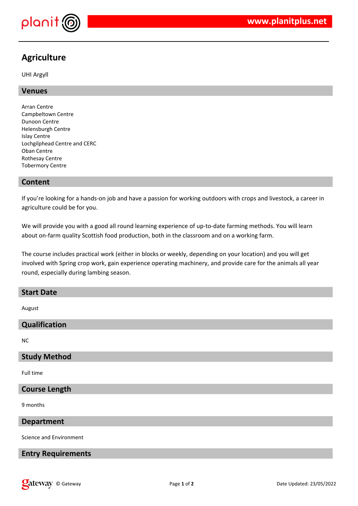

# **Agriculture**

UHI Argyll

# **Venues**

Arran Centre Campbeltown Centre Dunoon Centre Helensburgh Centre Islay Centre Lochgilphead Centre and CERC Oban Centre Rothesay Centre Tobermory Centre

# **Content**

If you're looking for a hands-on job and have a passion for working outdoors with crops and livestock, a career in agriculture could be for you.

We will provide you with a good all round learning experience of up-to-date farming methods. You will learn about on-farm quality Scottish food production, both in the classroom and on a working farm.

The course includes practical work (either in blocks or weekly, depending on your location) and you will get involved with Spring crop work, gain experience operating machinery, and provide care for the animals all year round, especially during lambing season.

| <b>Start Date</b>         |
|---------------------------|
| August                    |
| Qualification             |
| <b>NC</b>                 |
| <b>Study Method</b>       |
| Full time                 |
| <b>Course Length</b>      |
| 9 months                  |
| <b>Department</b>         |
| Science and Environment   |
| <b>Entry Requirements</b> |